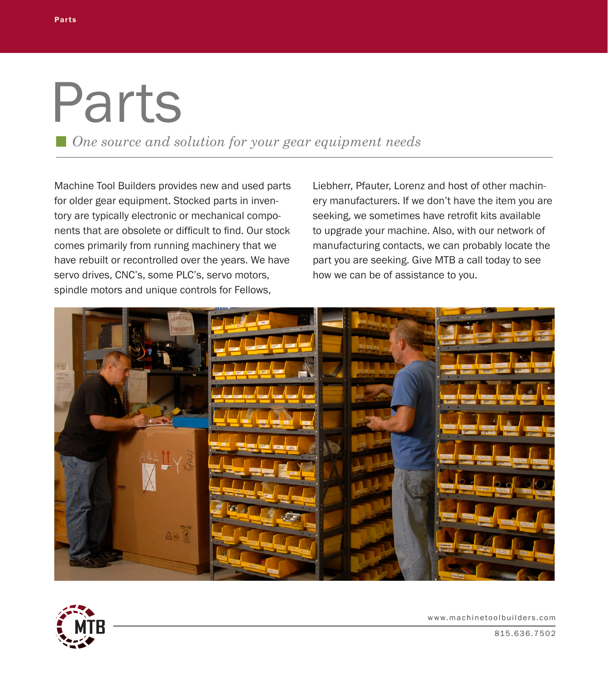## Parts

*One source and solution for your gear equipment needs*

Machine Tool Builders provides new and used parts for older gear equipment. Stocked parts in inventory are typically electronic or mechanical components that are obsolete or difficult to find. Our stock comes primarily from running machinery that we have rebuilt or recontrolled over the years. We have servo drives, CNC's, some PLC's, servo motors, spindle motors and unique controls for Fellows,

Liebherr, Pfauter, Lorenz and host of other machinery manufacturers. If we don't have the item you are seeking, we sometimes have retrofit kits available to upgrade your machine. Also, with our network of manufacturing contacts, we can probably locate the part you are seeking. Give MTB a call today to see how we can be of assistance to you.





www.machinetoolbuilders.com